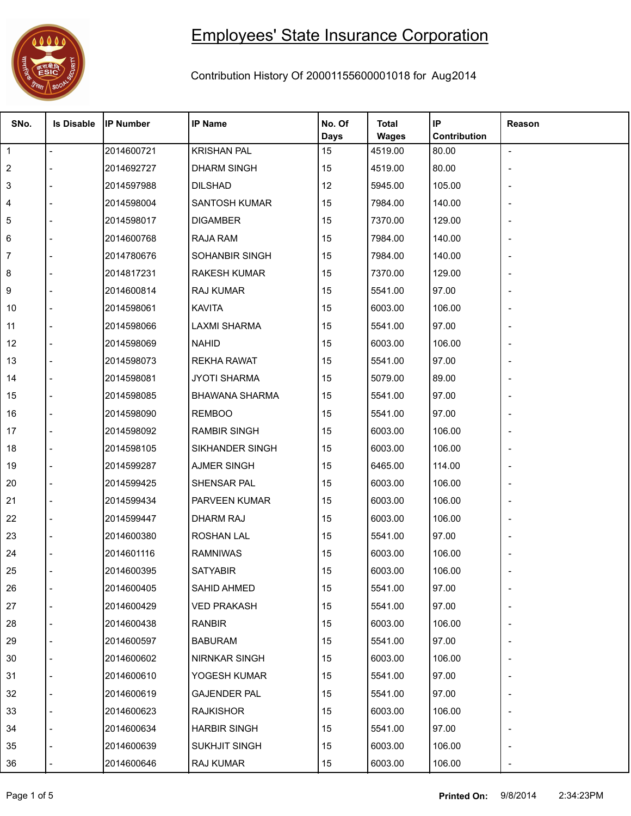

## Employees' State Insurance Corporation

## Contribution History Of 20001155600001018 for Aug2014

| SNo.           | <b>Is Disable</b> | <b>IP Number</b> | <b>IP Name</b>        | No. Of<br><b>Days</b> | <b>Total</b><br><b>Wages</b> | IP<br>Contribution | Reason         |
|----------------|-------------------|------------------|-----------------------|-----------------------|------------------------------|--------------------|----------------|
| $\overline{1}$ |                   | 2014600721       | <b>KRISHAN PAL</b>    | 15                    | 4519.00                      | 80.00              | $\blacksquare$ |
| $\overline{2}$ |                   | 2014692727       | <b>DHARM SINGH</b>    | 15                    | 4519.00                      | 80.00              |                |
| 3              |                   | 2014597988       | <b>DILSHAD</b>        | 12                    | 5945.00                      | 105.00             |                |
| 4              |                   | 2014598004       | <b>SANTOSH KUMAR</b>  | 15                    | 7984.00                      | 140.00             |                |
| 5              |                   | 2014598017       | <b>DIGAMBER</b>       | 15                    | 7370.00                      | 129.00             |                |
| 6              |                   | 2014600768       | <b>RAJA RAM</b>       | 15                    | 7984.00                      | 140.00             |                |
| 7              |                   | 2014780676       | SOHANBIR SINGH        | 15                    | 7984.00                      | 140.00             |                |
| 8              |                   | 2014817231       | <b>RAKESH KUMAR</b>   | 15                    | 7370.00                      | 129.00             |                |
| 9              |                   | 2014600814       | RAJ KUMAR             | 15                    | 5541.00                      | 97.00              |                |
| 10             |                   | 2014598061       | <b>KAVITA</b>         | 15                    | 6003.00                      | 106.00             |                |
| 11             |                   | 2014598066       | <b>LAXMI SHARMA</b>   | 15                    | 5541.00                      | 97.00              |                |
| 12             |                   | 2014598069       | <b>NAHID</b>          | 15                    | 6003.00                      | 106.00             |                |
| 13             |                   | 2014598073       | <b>REKHA RAWAT</b>    | 15                    | 5541.00                      | 97.00              |                |
| 14             |                   | 2014598081       | <b>JYOTI SHARMA</b>   | 15                    | 5079.00                      | 89.00              |                |
| 15             |                   | 2014598085       | <b>BHAWANA SHARMA</b> | 15                    | 5541.00                      | 97.00              |                |
| 16             |                   | 2014598090       | <b>REMBOO</b>         | 15                    | 5541.00                      | 97.00              |                |
| 17             |                   | 2014598092       | <b>RAMBIR SINGH</b>   | 15                    | 6003.00                      | 106.00             |                |
| 18             |                   | 2014598105       | SIKHANDER SINGH       | 15                    | 6003.00                      | 106.00             |                |
| 19             |                   | 2014599287       | <b>AJMER SINGH</b>    | 15                    | 6465.00                      | 114.00             |                |
| 20             |                   | 2014599425       | SHENSAR PAL           | 15                    | 6003.00                      | 106.00             |                |
| 21             |                   | 2014599434       | PARVEEN KUMAR         | 15                    | 6003.00                      | 106.00             |                |
| 22             |                   | 2014599447       | <b>DHARM RAJ</b>      | 15                    | 6003.00                      | 106.00             |                |
| 23             |                   | 2014600380       | <b>ROSHAN LAL</b>     | 15                    | 5541.00                      | 97.00              |                |
| 24             |                   | 2014601116       | <b>RAMNIWAS</b>       | 15                    | 6003.00                      | 106.00             |                |
| 25             |                   | 2014600395       | <b>SATYABIR</b>       | 15                    | 6003.00                      | 106.00             |                |
| 26             |                   | 2014600405       | SAHID AHMED           | 15                    | 5541.00                      | 97.00              |                |
| 27             |                   | 2014600429       | <b>VED PRAKASH</b>    | 15                    | 5541.00                      | 97.00              |                |
| 28             |                   | 2014600438       | RANBIR                | 15                    | 6003.00                      | 106.00             |                |
| 29             |                   | 2014600597       | <b>BABURAM</b>        | 15                    | 5541.00                      | 97.00              |                |
| 30             |                   | 2014600602       | <b>NIRNKAR SINGH</b>  | 15                    | 6003.00                      | 106.00             |                |
| 31             |                   | 2014600610       | YOGESH KUMAR          | 15                    | 5541.00                      | 97.00              |                |
| 32             |                   | 2014600619       | <b>GAJENDER PAL</b>   | 15                    | 5541.00                      | 97.00              |                |
| 33             |                   | 2014600623       | <b>RAJKISHOR</b>      | 15                    | 6003.00                      | 106.00             |                |
| 34             |                   | 2014600634       | <b>HARBIR SINGH</b>   | 15                    | 5541.00                      | 97.00              |                |
| 35             |                   | 2014600639       | SUKHJIT SINGH         | 15                    | 6003.00                      | 106.00             |                |
| 36             |                   | 2014600646       | RAJ KUMAR             | 15                    | 6003.00                      | 106.00             |                |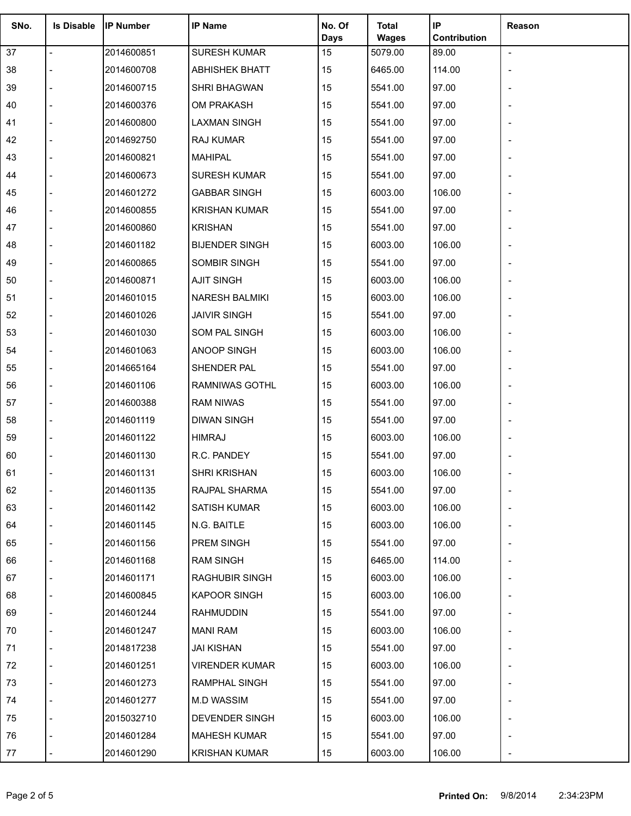| SNo. | <b>Is Disable</b> | <b>IP Number</b> | <b>IP Name</b>        | No. Of            | <b>Total</b>            | IP                    | Reason                   |
|------|-------------------|------------------|-----------------------|-------------------|-------------------------|-----------------------|--------------------------|
| 37   | $\overline{a}$    | 2014600851       | <b>SURESH KUMAR</b>   | <b>Days</b><br>15 | <b>Wages</b><br>5079.00 | Contribution<br>89.00 | $\overline{\phantom{a}}$ |
| 38   |                   | 2014600708       | <b>ABHISHEK BHATT</b> | 15                | 6465.00                 | 114.00                |                          |
| 39   |                   | 2014600715       | SHRI BHAGWAN          | 15                | 5541.00                 | 97.00                 |                          |
| 40   |                   | 2014600376       | OM PRAKASH            | 15                | 5541.00                 | 97.00                 |                          |
| 41   |                   | 2014600800       | <b>LAXMAN SINGH</b>   | 15                | 5541.00                 | 97.00                 |                          |
| 42   |                   | 2014692750       | RAJ KUMAR             | 15                | 5541.00                 | 97.00                 |                          |
| 43   |                   | 2014600821       | <b>MAHIPAL</b>        | 15                | 5541.00                 | 97.00                 |                          |
| 44   |                   | 2014600673       | <b>SURESH KUMAR</b>   | 15                | 5541.00                 | 97.00                 |                          |
| 45   |                   | 2014601272       | <b>GABBAR SINGH</b>   | 15                | 6003.00                 | 106.00                |                          |
| 46   |                   | 2014600855       | <b>KRISHAN KUMAR</b>  | 15                | 5541.00                 | 97.00                 |                          |
| 47   |                   | 2014600860       | <b>KRISHAN</b>        | 15                | 5541.00                 | 97.00                 |                          |
| 48   |                   | 2014601182       | <b>BIJENDER SINGH</b> | 15                | 6003.00                 | 106.00                |                          |
| 49   |                   | 2014600865       | SOMBIR SINGH          | 15                | 5541.00                 | 97.00                 | $\overline{\phantom{a}}$ |
| 50   |                   | 2014600871       | <b>AJIT SINGH</b>     | 15                | 6003.00                 | 106.00                |                          |
| 51   |                   | 2014601015       | <b>NARESH BALMIKI</b> | 15                | 6003.00                 | 106.00                |                          |
| 52   |                   | 2014601026       | <b>JAIVIR SINGH</b>   | 15                | 5541.00                 | 97.00                 |                          |
| 53   |                   | 2014601030       | SOM PAL SINGH         | 15                | 6003.00                 | 106.00                |                          |
| 54   |                   | 2014601063       | ANOOP SINGH           | 15                | 6003.00                 | 106.00                |                          |
| 55   |                   | 2014665164       | SHENDER PAL           | 15                | 5541.00                 | 97.00                 | $\overline{\phantom{a}}$ |
| 56   |                   | 2014601106       | RAMNIWAS GOTHL        | 15                | 6003.00                 | 106.00                |                          |
| 57   |                   | 2014600388       | <b>RAM NIWAS</b>      | 15                | 5541.00                 | 97.00                 |                          |
| 58   |                   | 2014601119       | <b>DIWAN SINGH</b>    | 15                | 5541.00                 | 97.00                 |                          |
| 59   |                   | 2014601122       | <b>HIMRAJ</b>         | 15                | 6003.00                 | 106.00                |                          |
| 60   |                   | 2014601130       | R.C. PANDEY           | 15                | 5541.00                 | 97.00                 |                          |
| 61   |                   | 2014601131       | <b>SHRI KRISHAN</b>   | 15                | 6003.00                 | 106.00                |                          |
| 62   |                   | 2014601135       | RAJPAL SHARMA         | 15                | 5541.00                 | 97.00                 |                          |
| 63   |                   | 2014601142       | SATISH KUMAR          | 15                | 6003.00                 | 106.00                |                          |
| 64   |                   | 2014601145       | N.G. BAITLE           | 15                | 6003.00                 | 106.00                |                          |
| 65   |                   | 2014601156       | PREM SINGH            | 15                | 5541.00                 | 97.00                 |                          |
| 66   |                   | 2014601168       | RAM SINGH             | 15                | 6465.00                 | 114.00                |                          |
| 67   |                   | 2014601171       | <b>RAGHUBIR SINGH</b> | 15                | 6003.00                 | 106.00                |                          |
| 68   |                   | 2014600845       | <b>KAPOOR SINGH</b>   | 15                | 6003.00                 | 106.00                |                          |
| 69   |                   | 2014601244       | <b>RAHMUDDIN</b>      | 15                | 5541.00                 | 97.00                 |                          |
| 70   |                   | 2014601247       | MANI RAM              | 15                | 6003.00                 | 106.00                |                          |
| 71   |                   | 2014817238       | JAI KISHAN            | 15                | 5541.00                 | 97.00                 |                          |
| 72   |                   | 2014601251       | <b>VIRENDER KUMAR</b> | 15                | 6003.00                 | 106.00                |                          |
| 73   |                   | 2014601273       | <b>RAMPHAL SINGH</b>  | 15                | 5541.00                 | 97.00                 |                          |
| 74   |                   | 2014601277       | M.D WASSIM            | 15                | 5541.00                 | 97.00                 |                          |
| 75   |                   | 2015032710       | DEVENDER SINGH        | 15                | 6003.00                 | 106.00                |                          |
| 76   |                   | 2014601284       | <b>MAHESH KUMAR</b>   | 15                | 5541.00                 | 97.00                 |                          |
| 77   |                   | 2014601290       | <b>KRISHAN KUMAR</b>  | 15                | 6003.00                 | 106.00                |                          |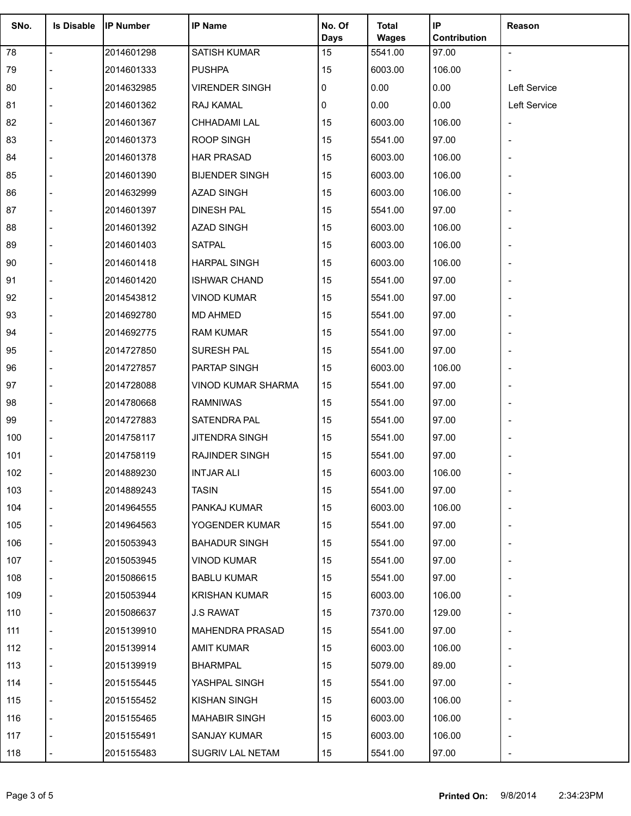| SNo. | <b>Is Disable</b> | <b>IP Number</b> | <b>IP Name</b>            | No. Of<br><b>Days</b> | <b>Total</b><br><b>Wages</b> | IP<br>Contribution | Reason                   |
|------|-------------------|------------------|---------------------------|-----------------------|------------------------------|--------------------|--------------------------|
| 78   |                   | 2014601298       | <b>SATISH KUMAR</b>       | 15                    | 5541.00                      | 97.00              | $\blacksquare$           |
| 79   |                   | 2014601333       | <b>PUSHPA</b>             | 15                    | 6003.00                      | 106.00             | $\overline{\phantom{a}}$ |
| 80   |                   | 2014632985       | <b>VIRENDER SINGH</b>     | 0                     | 0.00                         | 0.00               | <b>Left Service</b>      |
| 81   |                   | 2014601362       | RAJ KAMAL                 | 0                     | 0.00                         | 0.00               | Left Service             |
| 82   |                   | 2014601367       | CHHADAMI LAL              | 15                    | 6003.00                      | 106.00             |                          |
| 83   |                   | 2014601373       | <b>ROOP SINGH</b>         | 15                    | 5541.00                      | 97.00              |                          |
| 84   |                   | 2014601378       | <b>HAR PRASAD</b>         | 15                    | 6003.00                      | 106.00             |                          |
| 85   |                   | 2014601390       | <b>BIJENDER SINGH</b>     | 15                    | 6003.00                      | 106.00             |                          |
| 86   |                   | 2014632999       | <b>AZAD SINGH</b>         | 15                    | 6003.00                      | 106.00             |                          |
| 87   |                   | 2014601397       | <b>DINESH PAL</b>         | 15                    | 5541.00                      | 97.00              |                          |
| 88   |                   | 2014601392       | <b>AZAD SINGH</b>         | 15                    | 6003.00                      | 106.00             |                          |
| 89   |                   | 2014601403       | <b>SATPAL</b>             | 15                    | 6003.00                      | 106.00             |                          |
| 90   |                   | 2014601418       | <b>HARPAL SINGH</b>       | 15                    | 6003.00                      | 106.00             |                          |
| 91   |                   | 2014601420       | <b>ISHWAR CHAND</b>       | 15                    | 5541.00                      | 97.00              |                          |
| 92   |                   | 2014543812       | <b>VINOD KUMAR</b>        | 15                    | 5541.00                      | 97.00              |                          |
| 93   |                   | 2014692780       | <b>MD AHMED</b>           | 15                    | 5541.00                      | 97.00              |                          |
| 94   |                   | 2014692775       | <b>RAM KUMAR</b>          | 15                    | 5541.00                      | 97.00              |                          |
| 95   |                   | 2014727850       | SURESH PAL                | 15                    | 5541.00                      | 97.00              |                          |
| 96   |                   | 2014727857       | PARTAP SINGH              | 15                    | 6003.00                      | 106.00             |                          |
| 97   |                   | 2014728088       | <b>VINOD KUMAR SHARMA</b> | 15                    | 5541.00                      | 97.00              |                          |
| 98   |                   | 2014780668       | <b>RAMNIWAS</b>           | 15                    | 5541.00                      | 97.00              |                          |
| 99   |                   | 2014727883       | SATENDRA PAL              | 15                    | 5541.00                      | 97.00              |                          |
| 100  |                   | 2014758117       | JITENDRA SINGH            | 15                    | 5541.00                      | 97.00              |                          |
| 101  |                   | 2014758119       | RAJINDER SINGH            | 15                    | 5541.00                      | 97.00              |                          |
| 102  |                   | 2014889230       | <b>INTJAR ALI</b>         | 15                    | 6003.00                      | 106.00             |                          |
| 103  |                   | 2014889243       | <b>TASIN</b>              | 15                    | 5541.00                      | 97.00              |                          |
| 104  |                   | 2014964555       | PANKAJ KUMAR              | 15                    | 6003.00                      | 106.00             |                          |
| 105  |                   | 2014964563       | YOGENDER KUMAR            | 15                    | 5541.00                      | 97.00              |                          |
| 106  |                   | 2015053943       | <b>BAHADUR SINGH</b>      | 15                    | 5541.00                      | 97.00              |                          |
| 107  |                   | 2015053945       | <b>VINOD KUMAR</b>        | 15                    | 5541.00                      | 97.00              |                          |
| 108  |                   | 2015086615       | <b>BABLU KUMAR</b>        | 15                    | 5541.00                      | 97.00              |                          |
| 109  |                   | 2015053944       | <b>KRISHAN KUMAR</b>      | 15                    | 6003.00                      | 106.00             |                          |
| 110  |                   | 2015086637       | <b>J.S RAWAT</b>          | 15                    | 7370.00                      | 129.00             |                          |
| 111  |                   | 2015139910       | MAHENDRA PRASAD           | 15                    | 5541.00                      | 97.00              |                          |
| 112  |                   | 2015139914       | AMIT KUMAR                | 15                    | 6003.00                      | 106.00             |                          |
| 113  |                   | 2015139919       | <b>BHARMPAL</b>           | 15                    | 5079.00                      | 89.00              |                          |
| 114  |                   | 2015155445       | YASHPAL SINGH             | 15                    | 5541.00                      | 97.00              |                          |
| 115  |                   | 2015155452       | <b>KISHAN SINGH</b>       | 15                    | 6003.00                      | 106.00             |                          |
| 116  |                   | 2015155465       | <b>MAHABIR SINGH</b>      | 15                    | 6003.00                      | 106.00             |                          |
| 117  |                   | 2015155491       | SANJAY KUMAR              | 15                    | 6003.00                      | 106.00             |                          |
| 118  |                   | 2015155483       | <b>SUGRIV LAL NETAM</b>   | 15                    | 5541.00                      | 97.00              |                          |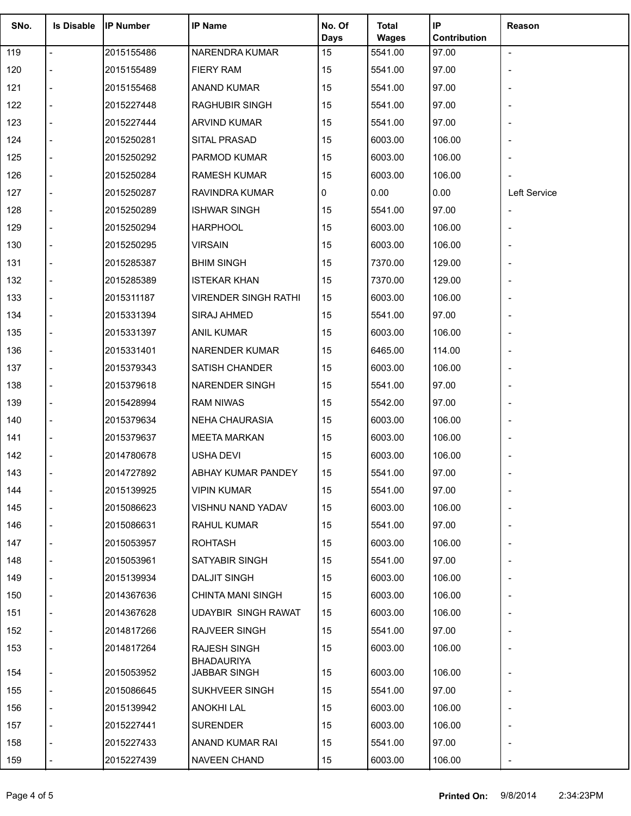| SNo. | <b>Is Disable</b> | <b>IP Number</b> | <b>IP Name</b>                    | No. Of<br><b>Days</b> | <b>Total</b><br><b>Wages</b> | IP<br>Contribution | Reason         |
|------|-------------------|------------------|-----------------------------------|-----------------------|------------------------------|--------------------|----------------|
| 119  | $\overline{a}$    | 2015155486       | NARENDRA KUMAR                    | 15                    | 5541.00                      | 97.00              | $\blacksquare$ |
| 120  |                   | 2015155489       | <b>FIERY RAM</b>                  | 15                    | 5541.00                      | 97.00              |                |
| 121  |                   | 2015155468       | <b>ANAND KUMAR</b>                | 15                    | 5541.00                      | 97.00              |                |
| 122  |                   | 2015227448       | RAGHUBIR SINGH                    | 15                    | 5541.00                      | 97.00              |                |
| 123  |                   | 2015227444       | <b>ARVIND KUMAR</b>               | 15                    | 5541.00                      | 97.00              |                |
| 124  |                   | 2015250281       | SITAL PRASAD                      | 15                    | 6003.00                      | 106.00             |                |
| 125  |                   | 2015250292       | PARMOD KUMAR                      | 15                    | 6003.00                      | 106.00             |                |
| 126  |                   | 2015250284       | <b>RAMESH KUMAR</b>               | 15                    | 6003.00                      | 106.00             |                |
| 127  |                   | 2015250287       | RAVINDRA KUMAR                    | 0                     | 0.00                         | 0.00               | Left Service   |
| 128  |                   | 2015250289       | <b>ISHWAR SINGH</b>               | 15                    | 5541.00                      | 97.00              |                |
| 129  |                   | 2015250294       | <b>HARPHOOL</b>                   | 15                    | 6003.00                      | 106.00             |                |
| 130  |                   | 2015250295       | <b>VIRSAIN</b>                    | 15                    | 6003.00                      | 106.00             |                |
| 131  |                   | 2015285387       | <b>BHIM SINGH</b>                 | 15                    | 7370.00                      | 129.00             |                |
| 132  |                   | 2015285389       | <b>ISTEKAR KHAN</b>               | 15                    | 7370.00                      | 129.00             |                |
| 133  |                   | 2015311187       | <b>VIRENDER SINGH RATHI</b>       | 15                    | 6003.00                      | 106.00             |                |
| 134  |                   | 2015331394       | SIRAJ AHMED                       | 15                    | 5541.00                      | 97.00              |                |
| 135  |                   | 2015331397       | <b>ANIL KUMAR</b>                 | 15                    | 6003.00                      | 106.00             |                |
| 136  |                   | 2015331401       | NARENDER KUMAR                    | 15                    | 6465.00                      | 114.00             |                |
| 137  |                   | 2015379343       | SATISH CHANDER                    | 15                    | 6003.00                      | 106.00             |                |
| 138  |                   | 2015379618       | NARENDER SINGH                    | 15                    | 5541.00                      | 97.00              |                |
| 139  |                   | 2015428994       | <b>RAM NIWAS</b>                  | 15                    | 5542.00                      | 97.00              |                |
| 140  |                   | 2015379634       | <b>NEHA CHAURASIA</b>             | 15                    | 6003.00                      | 106.00             |                |
| 141  |                   | 2015379637       | <b>MEETA MARKAN</b>               | 15                    | 6003.00                      | 106.00             |                |
| 142  |                   | 2014780678       | <b>USHA DEVI</b>                  | 15                    | 6003.00                      | 106.00             |                |
| 143  |                   | 2014727892       | ABHAY KUMAR PANDEY                | 15                    | 5541.00                      | 97.00              |                |
| 144  |                   | 2015139925       | <b>VIPIN KUMAR</b>                | 15                    | 5541.00                      | 97.00              |                |
| 145  |                   | 2015086623       | <b>VISHNU NAND YADAV</b>          | 15                    | 6003.00                      | 106.00             |                |
| 146  |                   | 2015086631       | <b>RAHUL KUMAR</b>                | 15                    | 5541.00                      | 97.00              |                |
| 147  |                   | 2015053957       | <b>ROHTASH</b>                    | 15                    | 6003.00                      | 106.00             |                |
| 148  |                   | 2015053961       | SATYABIR SINGH                    | 15                    | 5541.00                      | 97.00              |                |
| 149  |                   | 2015139934       | <b>DALJIT SINGH</b>               | 15                    | 6003.00                      | 106.00             |                |
| 150  |                   | 2014367636       | <b>CHINTA MANI SINGH</b>          | 15                    | 6003.00                      | 106.00             |                |
| 151  |                   | 2014367628       | UDAYBIR SINGH RAWAT               | 15                    | 6003.00                      | 106.00             |                |
| 152  |                   | 2014817266       | RAJVEER SINGH                     | 15                    | 5541.00                      | 97.00              |                |
| 153  |                   | 2014817264       | RAJESH SINGH                      | 15                    | 6003.00                      | 106.00             |                |
| 154  |                   | 2015053952       | <b>BHADAURIYA</b><br>JABBAR SINGH | 15                    | 6003.00                      | 106.00             |                |
| 155  |                   | 2015086645       | SUKHVEER SINGH                    | 15                    | 5541.00                      | 97.00              |                |
| 156  |                   | 2015139942       | ANOKHI LAL                        | 15                    | 6003.00                      | 106.00             |                |
| 157  |                   | 2015227441       | <b>SURENDER</b>                   | 15                    | 6003.00                      | 106.00             |                |
| 158  |                   | 2015227433       | ANAND KUMAR RAI                   | 15                    | 5541.00                      | 97.00              |                |
| 159  |                   | 2015227439       | NAVEEN CHAND                      | 15                    | 6003.00                      | 106.00             |                |